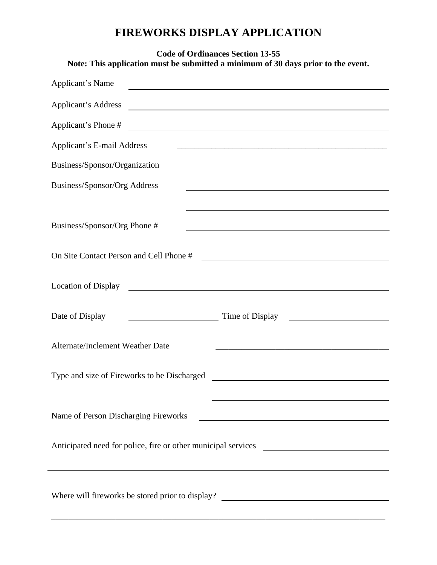## **FIREWORKS DISPLAY APPLICATION**

| <b>Code of Ordinances Section 13-55</b><br>Note: This application must be submitted a minimum of 30 days prior to the event.                               |  |  |  |  |
|------------------------------------------------------------------------------------------------------------------------------------------------------------|--|--|--|--|
| Applicant's Name<br><u> 1989 - Johann Stoff, deutscher Stoffen und der Stoffen und der Stoffen und der Stoffen und der Stoffen und der</u>                 |  |  |  |  |
| Applicant's Address<br><u> 1989 - Johann Stoff, deutscher Stoffen und der Stoffen und der Stoffen und der Stoffen und der Stoffen und der</u>              |  |  |  |  |
| Applicant's Phone #<br><u> Alexandria de la contrada de la contrada de la contrada de la contrada de la contrada de la contrada de la c</u>                |  |  |  |  |
| <b>Applicant's E-mail Address</b><br><u> 1989 - Johann Stoff, deutscher Stoff, der Stoff, der Stoff, der Stoff, der Stoff, der Stoff, der Stoff, der S</u> |  |  |  |  |
| Business/Sponsor/Organization                                                                                                                              |  |  |  |  |
| Business/Sponsor/Org Address<br><u> 1989 - Andrea Barbara, amerikana amerikana amerikana amerikana amerikana amerikana amerikana amerikana amerik</u>      |  |  |  |  |
| Business/Sponsor/Org Phone #                                                                                                                               |  |  |  |  |
| On Site Contact Person and Cell Phone #                                                                                                                    |  |  |  |  |
| <b>Location of Display</b>                                                                                                                                 |  |  |  |  |
| Date of Display<br>Time of Display                                                                                                                         |  |  |  |  |
| Alternate/Inclement Weather Date                                                                                                                           |  |  |  |  |
| Type and size of Fireworks to be Discharged                                                                                                                |  |  |  |  |
| Name of Person Discharging Fireworks<br><u> 1989 - Johann Stein, mars an de Brasilia (b. 1989)</u>                                                         |  |  |  |  |
| Anticipated need for police, fire or other municipal services<br><u> 1980 - Andrea Station Barbara, amerikan per</u>                                       |  |  |  |  |
| Where will fireworks be stored prior to display? ________________________________                                                                          |  |  |  |  |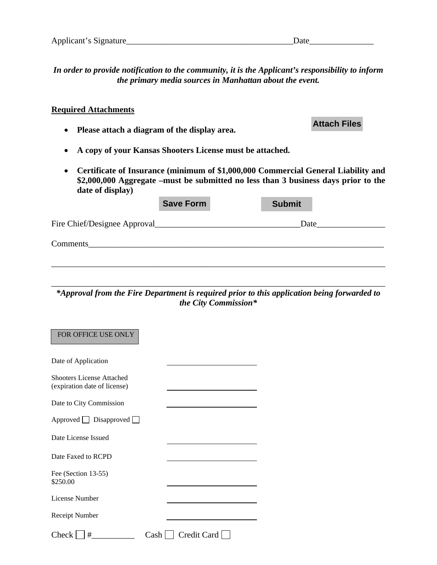*In order to provide notification to the community, it is the Applicant's responsibility to inform the primary media sources in Manhattan about the event.* 

## **Required Attachments**

- **Please attach a diagram of the display area.**
- **A copy of your Kansas Shooters License must be attached.**
- **Certificate of Insurance (minimum of \$1,000,000 Commercial General Liability and \$2,000,000 Aggregate –must be submitted no less than 3 business days prior to the date of display)**

|                              | <b>Save Form</b> | <b>Submit</b> |  |
|------------------------------|------------------|---------------|--|
| Fire Chief/Designee Approval |                  | Date          |  |
| Comments                     |                  |               |  |
|                              |                  |               |  |

\_\_\_\_\_\_\_\_\_\_\_\_\_\_\_\_\_\_\_\_\_\_\_\_\_\_\_\_\_\_\_\_\_\_\_\_\_\_\_\_\_\_\_\_\_\_\_\_\_\_\_\_\_\_\_\_\_\_\_\_\_\_\_\_\_\_\_\_\_\_\_\_\_\_\_\_\_\_ *\*Approval from the Fire Department is required prior to this application being forwarded to the City Commission\** 

| <b>FOR OFFICE USE ONLY</b>                                       |                      |
|------------------------------------------------------------------|----------------------|
| Date of Application                                              |                      |
| <b>Shooters License Attached</b><br>(expiration date of license) |                      |
| Date to City Commission                                          |                      |
| $Approved$ Disapproved $\Box$                                    |                      |
| Date License Issued                                              |                      |
| Date Faxed to RCPD                                               |                      |
| Fee (Section 13-55)<br>\$250.00                                  |                      |
| License Number                                                   |                      |
| Receipt Number                                                   |                      |
| $Check \mid \mid #$                                              | $Cash  $ Credit Card |

**Attach Files**